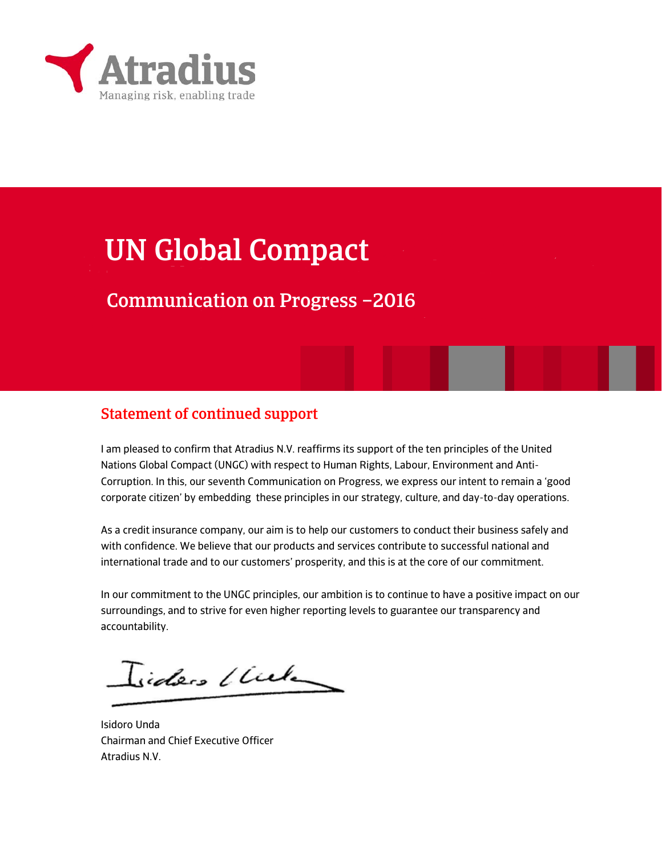

# UN Global Compact

### Communication on Progress –2016

### Statement of continued support

I am pleased to confirm that Atradius N.V. reaffirms its support of the ten principles of the United Nations Global Compact (UNGC) with respect to Human Rights, Labour, Environment and Anti-Corruption. In this, our seventh Communication on Progress, we express our intent to remain a 'good corporate citizen' by embedding these principles in our strategy, culture, and day-to-day operations.

As a credit insurance company, our aim is to help our customers to conduct their business safely and with confidence. We believe that our products and services contribute to successful national and international trade and to our customers' prosperity, and this is at the core of our commitment.

In our commitment to the UNGC principles, our ambition is to continue to have a positive impact on our surroundings, and to strive for even higher reporting levels to guarantee our transparency and accountability.

Isiders (Cule

Isidoro Unda Chairman and Chief Executive Officer Atradius N.V.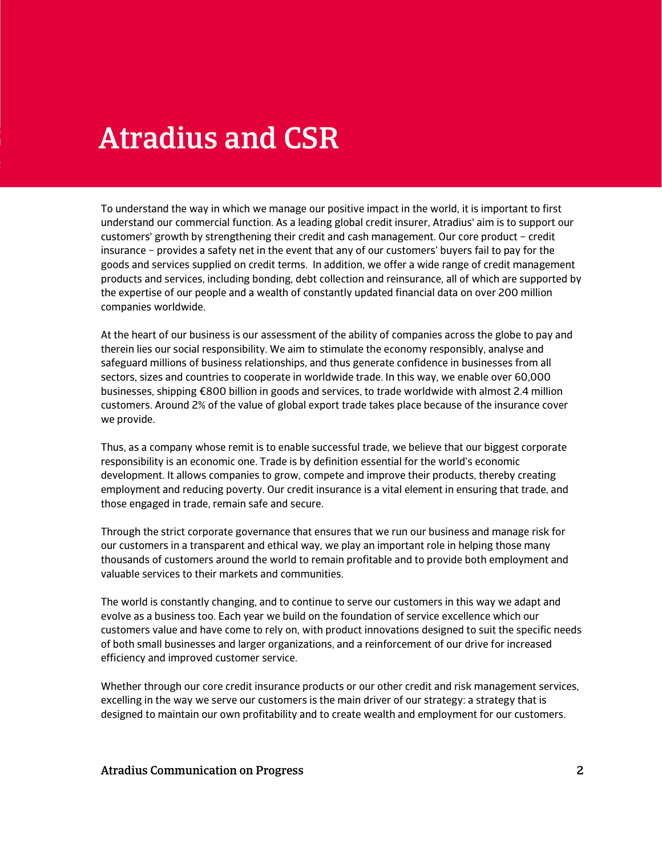# Atradius and CSR

To understand the way in which we manage our positive impact in the world, it is important to first understand our commercial function. As a leading global credit insurer, Atradius' aim is to support our customers' growth by strengthening their credit and cash management. Our core product – credit insurance – provides a safety net in the event that any of our customers' buyers fail to pay for the goods and services supplied on credit terms. In addition, we offer a wide range of credit management products and services, including bonding, debt collection and reinsurance, all of which are supported by the expertise of our people and a wealth of constantly updated financial data on over 200 million companies worldwide.

At the heart of our business is our assessment of the ability of companies across the globe to pay and therein lies our social responsibility. We aim to stimulate the economy responsibly, analyse and safeguard millions of business relationships, and thus generate confidence in businesses from all sectors, sizes and countries to cooperate in worldwide trade. In this way, we enable over 60,000 businesses, shipping €800 billion in goods and services, to trade worldwide with almost 2.4 million customers. Around 2% of the value of global export trade takes place because of the insurance cover we provide.

Thus, as a company whose remit is to enable successful trade, we believe that our biggest corporate responsibility is an economic one. Trade is by definition essential for the world's economic development. It allows companies to grow, compete and improve their products, thereby creating employment and reducing poverty. Our credit insurance is a vital element in ensuring that trade, and those engaged in trade, remain safe and secure.

Through the strict corporate governance that ensures that we run our business and manage risk for our customers in a transparent and ethical way, we play an important role in helping those many thousands of customers around the world to remain profitable and to provide both employment and valuable services to their markets and communities.

The world is constantly changing, and to continue to serve our customers in this way we adapt and evolve as a business too. Each year we build on the foundation of service excellence which our customers value and have come to rely on, with product innovations designed to suit the specific needs of both small businesses and larger organizations, and a reinforcement of our drive for increased efficiency and improved customer service.

Whether through our core credit insurance products or our other credit and risk management services, excelling in the way we serve our customers is the main driver of our strategy: a strategy that is designed to maintain our own profitability and to create wealth and employment for our customers.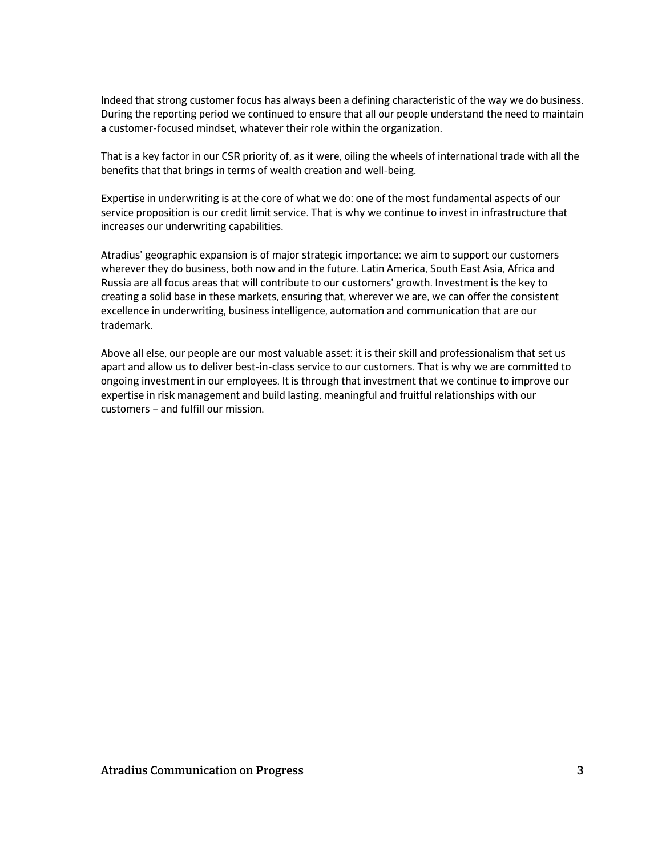Indeed that strong customer focus has always been a defining characteristic of the way we do business. During the reporting period we continued to ensure that all our people understand the need to maintain a customer-focused mindset, whatever their role within the organization.

That is a key factor in our CSR priority of, as it were, oiling the wheels of international trade with all the benefits that that brings in terms of wealth creation and well-being.

Expertise in underwriting is at the core of what we do: one of the most fundamental aspects of our service proposition is our credit limit service. That is why we continue to invest in infrastructure that increases our underwriting capabilities.

Atradius' geographic expansion is of major strategic importance: we aim to support our customers wherever they do business, both now and in the future. Latin America, South East Asia, Africa and Russia are all focus areas that will contribute to our customers' growth. Investment is the key to creating a solid base in these markets, ensuring that, wherever we are, we can offer the consistent excellence in underwriting, business intelligence, automation and communication that are our trademark.

Above all else, our people are our most valuable asset: it is their skill and professionalism that set us apart and allow us to deliver best-in-class service to our customers. That is why we are committed to ongoing investment in our employees. It is through that investment that we continue to improve our expertise in risk management and build lasting, meaningful and fruitful relationships with our customers – and fulfill our mission.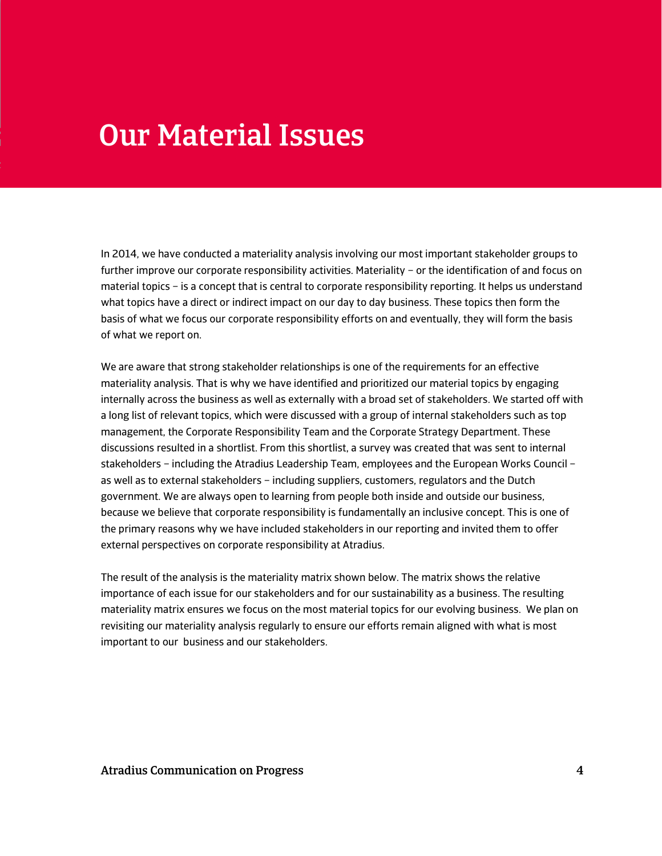## Our Material Issues

In 2014, we have conducted a materiality analysis involving our most important stakeholder groups to further improve our corporate responsibility activities. Materiality – or the identification of and focus on material topics – is a concept that is central to corporate responsibility reporting. It helps us understand what topics have a direct or indirect impact on our day to day business. These topics then form the basis of what we focus our corporate responsibility efforts on and eventually, they will form the basis of what we report on.

We are aware that strong stakeholder relationships is one of the requirements for an effective materiality analysis. That is why we have identified and prioritized our material topics by engaging internally across the business as well as externally with a broad set of stakeholders. We started off with a long list of relevant topics, which were discussed with a group of internal stakeholders such as top management, the Corporate Responsibility Team and the Corporate Strategy Department. These discussions resulted in a shortlist. From this shortlist, a survey was created that was sent to internal stakeholders – including the Atradius Leadership Team, employees and the European Works Council – as well as to external stakeholders – including suppliers, customers, regulators and the Dutch government. We are always open to learning from people both inside and outside our business, because we believe that corporate responsibility is fundamentally an inclusive concept. This is one of the primary reasons why we have included stakeholders in our reporting and invited them to offer external perspectives on corporate responsibility at Atradius.

The result of the analysis is the materiality matrix shown below. The matrix shows the relative importance of each issue for our stakeholders and for our sustainability as a business. The resulting materiality matrix ensures we focus on the most material topics for our evolving business. We plan on revisiting our materiality analysis regularly to ensure our efforts remain aligned with what is most important to our business and our stakeholders.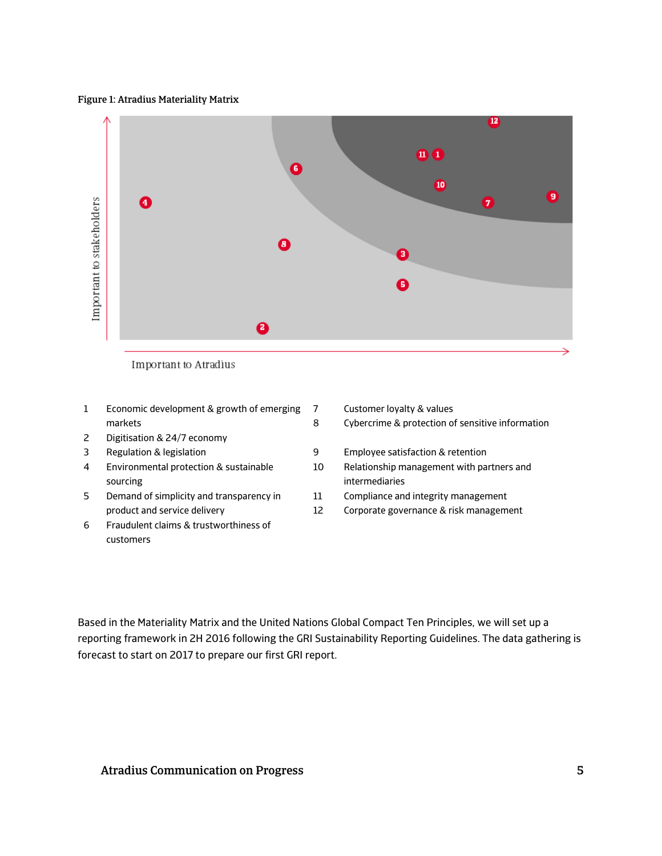#### Figure 1: Atradius Materiality Matrix



8

Important to Atradius

- 1 Economic development & growth of emerging markets 7
- 2 Digitisation & 24/7 economy
- 
- 4 Environmental protection & sustainable sourcing
- 5 Demand of simplicity and transparency in product and service delivery
- 6 Fraudulent claims & trustworthiness of customers

Customer loyalty & values

Cybercrime & protection of sensitive information

- 3 Regulation & legislation 9 Employee satisfaction & retention
	- 10 Relationship management with partners and intermediaries
	- 11 Compliance and integrity management
	- 12 Corporate governance & risk management

Based in the Materiality Matrix and the United Nations Global Compact Ten Principles, we will set up a reporting framework in 2H 2016 following the GRI Sustainability Reporting Guidelines. The data gathering is forecast to start on 2017 to prepare our first GRI report.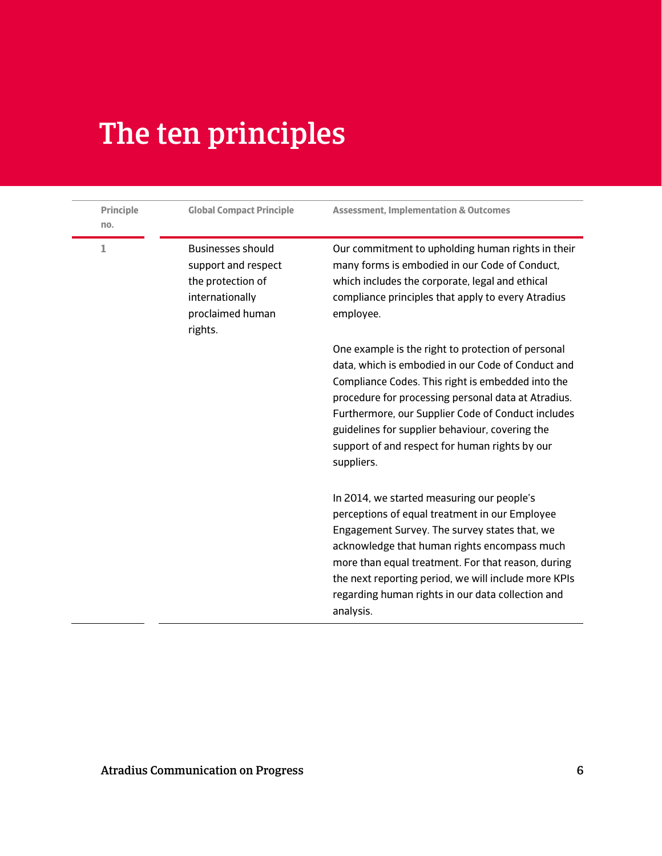# The ten principles

| <b>Principle</b><br>no. | <b>Global Compact Principle</b>                                                                                        | <b>Assessment, Implementation &amp; Outcomes</b>                                                                                                                                                                                                                                                                                                                                              |
|-------------------------|------------------------------------------------------------------------------------------------------------------------|-----------------------------------------------------------------------------------------------------------------------------------------------------------------------------------------------------------------------------------------------------------------------------------------------------------------------------------------------------------------------------------------------|
| 1                       | <b>Businesses should</b><br>support and respect<br>the protection of<br>internationally<br>proclaimed human<br>rights. | Our commitment to upholding human rights in their<br>many forms is embodied in our Code of Conduct,<br>which includes the corporate, legal and ethical<br>compliance principles that apply to every Atradius<br>employee.                                                                                                                                                                     |
|                         |                                                                                                                        | One example is the right to protection of personal<br>data, which is embodied in our Code of Conduct and<br>Compliance Codes. This right is embedded into the<br>procedure for processing personal data at Atradius.<br>Furthermore, our Supplier Code of Conduct includes<br>guidelines for supplier behaviour, covering the<br>support of and respect for human rights by our<br>suppliers. |
|                         |                                                                                                                        | In 2014, we started measuring our people's<br>perceptions of equal treatment in our Employee<br>Engagement Survey. The survey states that, we<br>acknowledge that human rights encompass much<br>more than equal treatment. For that reason, during<br>the next reporting period, we will include more KPIs<br>regarding human rights in our data collection and<br>analysis.                 |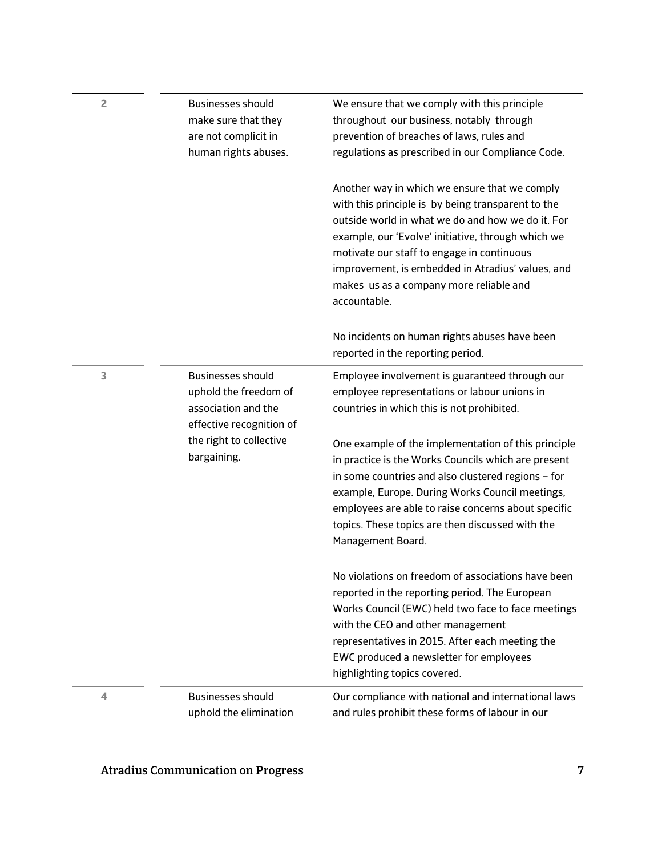| $\overline{2}$ | <b>Businesses should</b><br>make sure that they<br>are not complicit in<br>human rights abuses.      | We ensure that we comply with this principle<br>throughout our business, notably through<br>prevention of breaches of laws, rules and<br>regulations as prescribed in our Compliance Code.                                                                                                                                                                                   |
|----------------|------------------------------------------------------------------------------------------------------|------------------------------------------------------------------------------------------------------------------------------------------------------------------------------------------------------------------------------------------------------------------------------------------------------------------------------------------------------------------------------|
|                |                                                                                                      | Another way in which we ensure that we comply<br>with this principle is by being transparent to the<br>outside world in what we do and how we do it. For<br>example, our 'Evolve' initiative, through which we<br>motivate our staff to engage in continuous<br>improvement, is embedded in Atradius' values, and<br>makes us as a company more reliable and<br>accountable. |
|                |                                                                                                      | No incidents on human rights abuses have been<br>reported in the reporting period.                                                                                                                                                                                                                                                                                           |
| 3              | <b>Businesses should</b><br>uphold the freedom of<br>association and the<br>effective recognition of | Employee involvement is guaranteed through our<br>employee representations or labour unions in<br>countries in which this is not prohibited.                                                                                                                                                                                                                                 |
|                | the right to collective<br>bargaining.                                                               | One example of the implementation of this principle<br>in practice is the Works Councils which are present<br>in some countries and also clustered regions - for<br>example, Europe. During Works Council meetings,<br>employees are able to raise concerns about specific<br>topics. These topics are then discussed with the<br>Management Board.                          |
|                |                                                                                                      | No violations on freedom of associations have been<br>reported in the reporting period. The European<br>Works Council (EWC) held two face to face meetings<br>with the CEO and other management<br>representatives in 2015. After each meeting the<br>EWC produced a newsletter for employees<br>highlighting topics covered.                                                |
| 4              | <b>Businesses should</b><br>uphold the elimination                                                   | Our compliance with national and international laws<br>and rules prohibit these forms of labour in our                                                                                                                                                                                                                                                                       |

## Atradius Communication on Progress 7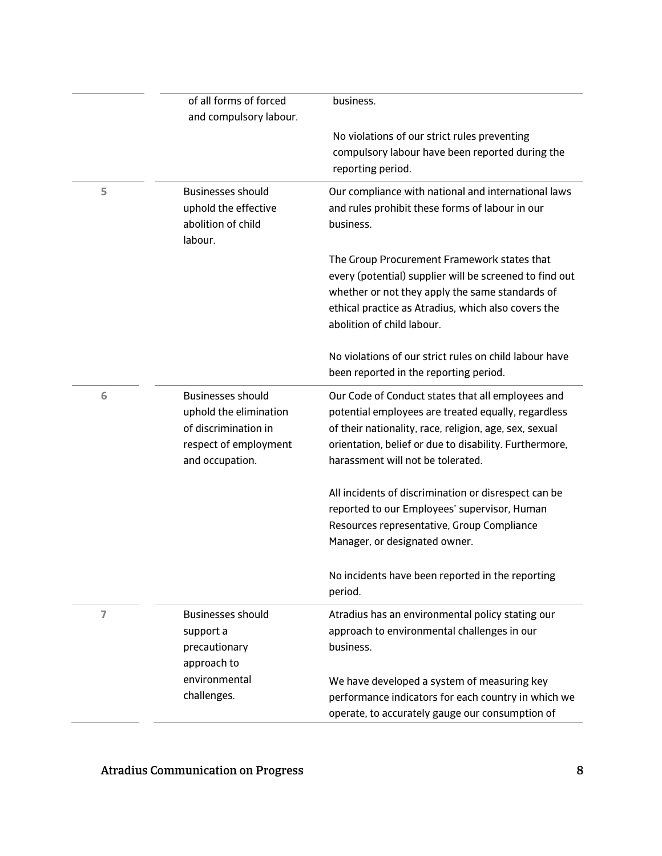|                | of all forms of forced<br>and compulsory labour.                                                                       | business.<br>No violations of our strict rules preventing<br>compulsory labour have been reported during the<br>reporting period.                                                                                                                                 |
|----------------|------------------------------------------------------------------------------------------------------------------------|-------------------------------------------------------------------------------------------------------------------------------------------------------------------------------------------------------------------------------------------------------------------|
|                |                                                                                                                        |                                                                                                                                                                                                                                                                   |
| 5              | <b>Businesses should</b><br>uphold the effective<br>abolition of child<br>labour.                                      | Our compliance with national and international laws<br>and rules prohibit these forms of labour in our<br>business.                                                                                                                                               |
|                |                                                                                                                        | The Group Procurement Framework states that<br>every (potential) supplier will be screened to find out<br>whether or not they apply the same standards of<br>ethical practice as Atradius, which also covers the<br>abolition of child labour.                    |
|                |                                                                                                                        | No violations of our strict rules on child labour have<br>been reported in the reporting period.                                                                                                                                                                  |
| 6              | <b>Businesses should</b><br>uphold the elimination<br>of discrimination in<br>respect of employment<br>and occupation. | Our Code of Conduct states that all employees and<br>potential employees are treated equally, regardless<br>of their nationality, race, religion, age, sex, sexual<br>orientation, belief or due to disability. Furthermore,<br>harassment will not be tolerated. |
|                |                                                                                                                        | All incidents of discrimination or disrespect can be<br>reported to our Employees' supervisor, Human<br>Resources representative, Group Compliance<br>Manager, or designated owner.                                                                               |
|                |                                                                                                                        | No incidents have been reported in the reporting<br>period.                                                                                                                                                                                                       |
| $\overline{7}$ | <b>Businesses should</b><br>support a<br>precautionary<br>approach to                                                  | Atradius has an environmental policy stating our<br>approach to environmental challenges in our<br>business.                                                                                                                                                      |
|                | environmental<br>challenges.                                                                                           | We have developed a system of measuring key<br>performance indicators for each country in which we<br>operate, to accurately gauge our consumption of                                                                                                             |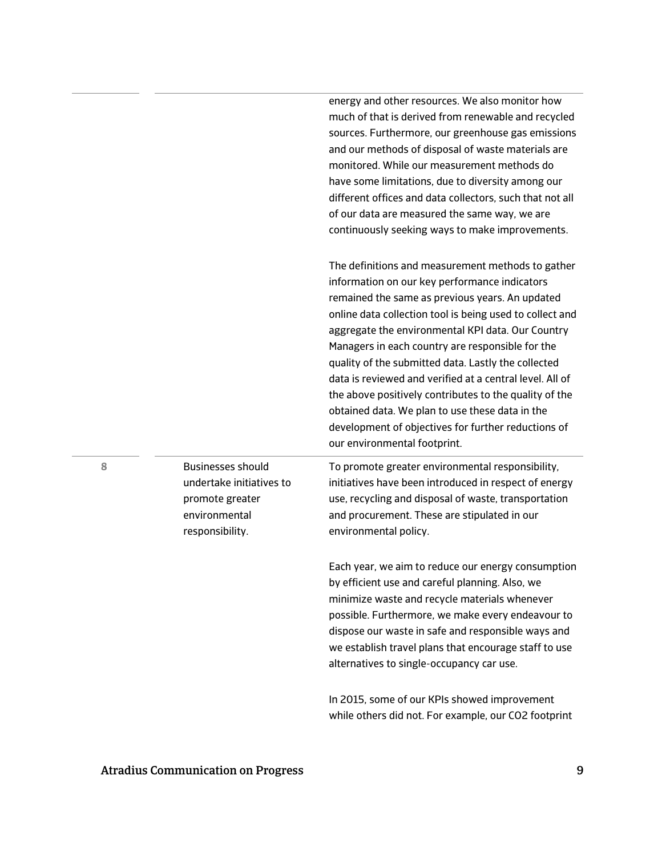|   |                                                                                                             | much of that is derived from renewable and recycled<br>sources. Furthermore, our greenhouse gas emissions<br>and our methods of disposal of waste materials are<br>monitored. While our measurement methods do<br>have some limitations, due to diversity among our<br>different offices and data collectors, such that not all<br>of our data are measured the same way, we are<br>continuously seeking ways to make improvements.                                                                                                                                                                                                               |
|---|-------------------------------------------------------------------------------------------------------------|---------------------------------------------------------------------------------------------------------------------------------------------------------------------------------------------------------------------------------------------------------------------------------------------------------------------------------------------------------------------------------------------------------------------------------------------------------------------------------------------------------------------------------------------------------------------------------------------------------------------------------------------------|
|   |                                                                                                             | The definitions and measurement methods to gather<br>information on our key performance indicators<br>remained the same as previous years. An updated<br>online data collection tool is being used to collect and<br>aggregate the environmental KPI data. Our Country<br>Managers in each country are responsible for the<br>quality of the submitted data. Lastly the collected<br>data is reviewed and verified at a central level. All of<br>the above positively contributes to the quality of the<br>obtained data. We plan to use these data in the<br>development of objectives for further reductions of<br>our environmental footprint. |
| 8 | <b>Businesses should</b><br>undertake initiatives to<br>promote greater<br>environmental<br>responsibility. | To promote greater environmental responsibility,<br>initiatives have been introduced in respect of energy<br>use, recycling and disposal of waste, transportation<br>and procurement. These are stipulated in our<br>environmental policy.                                                                                                                                                                                                                                                                                                                                                                                                        |
|   |                                                                                                             | Each year, we aim to reduce our energy consumption<br>by efficient use and careful planning. Also, we<br>minimize waste and recycle materials whenever<br>possible. Furthermore, we make every endeavour to<br>dispose our waste in safe and responsible ways and<br>we establish travel plans that encourage staff to use<br>alternatives to single-occupancy car use.                                                                                                                                                                                                                                                                           |
|   |                                                                                                             | In 2015, some of our KPIs showed improvement<br>while others did not. For example, our CO2 footprint                                                                                                                                                                                                                                                                                                                                                                                                                                                                                                                                              |

energy and other resources. We also monitor how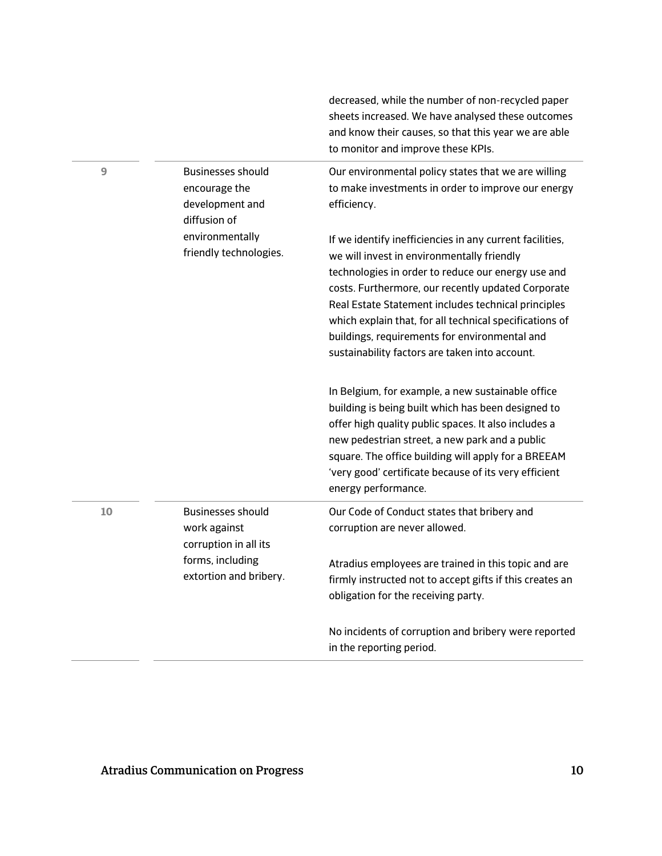|    |                                                                                                                 | decreased, while the number of non-recycled paper<br>sheets increased. We have analysed these outcomes<br>and know their causes, so that this year we are able<br>to monitor and improve these KPIs.                                                                                                                                                                                                                                    |
|----|-----------------------------------------------------------------------------------------------------------------|-----------------------------------------------------------------------------------------------------------------------------------------------------------------------------------------------------------------------------------------------------------------------------------------------------------------------------------------------------------------------------------------------------------------------------------------|
| 9  | <b>Businesses should</b><br>encourage the<br>development and<br>diffusion of                                    | Our environmental policy states that we are willing<br>to make investments in order to improve our energy<br>efficiency.                                                                                                                                                                                                                                                                                                                |
|    | environmentally<br>friendly technologies.                                                                       | If we identify inefficiencies in any current facilities,<br>we will invest in environmentally friendly<br>technologies in order to reduce our energy use and<br>costs. Furthermore, our recently updated Corporate<br>Real Estate Statement includes technical principles<br>which explain that, for all technical specifications of<br>buildings, requirements for environmental and<br>sustainability factors are taken into account. |
|    |                                                                                                                 | In Belgium, for example, a new sustainable office<br>building is being built which has been designed to<br>offer high quality public spaces. It also includes a<br>new pedestrian street, a new park and a public<br>square. The office building will apply for a BREEAM<br>'very good' certificate because of its very efficient<br>energy performance.                                                                                |
| 10 | <b>Businesses should</b><br>work against<br>corruption in all its<br>forms, including<br>extortion and bribery. | Our Code of Conduct states that bribery and<br>corruption are never allowed.<br>Atradius employees are trained in this topic and are<br>firmly instructed not to accept gifts if this creates an<br>obligation for the receiving party.                                                                                                                                                                                                 |
|    |                                                                                                                 | No incidents of corruption and bribery were reported<br>in the reporting period.                                                                                                                                                                                                                                                                                                                                                        |

 $\sim$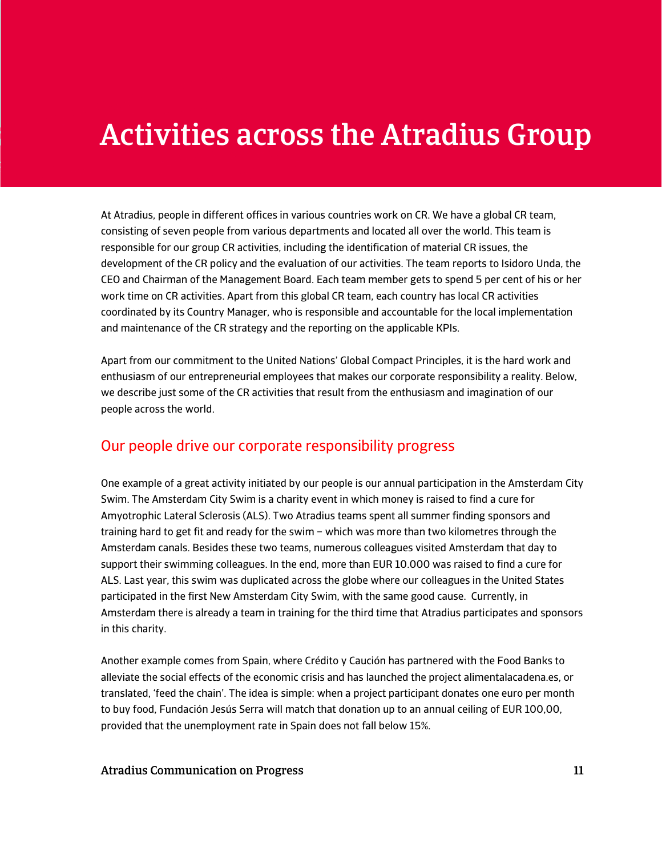# Activities across the Atradius Group

At Atradius, people in different offices in various countries work on CR. We have a global CR team, consisting of seven people from various departments and located all over the world. This team is responsible for our group CR activities, including the identification of material CR issues, the development of the CR policy and the evaluation of our activities. The team reports to Isidoro Unda, the CEO and Chairman of the Management Board. Each team member gets to spend 5 per cent of his or her work time on CR activities. Apart from this global CR team, each country has local CR activities coordinated by its Country Manager, who is responsible and accountable for the local implementation and maintenance of the CR strategy and the reporting on the applicable KPIs.

Apart from our commitment to the United Nations' Global Compact Principles, it is the hard work and enthusiasm of our entrepreneurial employees that makes our corporate responsibility a reality. Below, we describe just some of the CR activities that result from the enthusiasm and imagination of our people across the world.

#### Our people drive our corporate responsibility progress

One example of a great activity initiated by our people is our annual participation in the Amsterdam City Swim. The Amsterdam City Swim is a charity event in which money is raised to find a cure for Amyotrophic Lateral Sclerosis (ALS). Two Atradius teams spent all summer finding sponsors and training hard to get fit and ready for the swim – which was more than two kilometres through the Amsterdam canals. Besides these two teams, numerous colleagues visited Amsterdam that day to support their swimming colleagues. In the end, more than EUR 10.000 was raised to find a cure for ALS. Last year, this swim was duplicated across the globe where our colleagues in the United States participated in the first New Amsterdam City Swim, with the same good cause. Currently, in Amsterdam there is already a team in training for the third time that Atradius participates and sponsors in this charity.

Another example comes from Spain, where Crédito y Caución has partnered with the Food Banks to alleviate the social effects of the economic crisis and has launched the project alimentalacadena.es, or translated, 'feed the chain'. The idea is simple: when a project participant donates one euro per month to buy food, Fundación Jesús Serra will match that donation up to an annual ceiling of EUR 100,00, provided that the unemployment rate in Spain does not fall below 15%.

#### Atradius Communication on Progress 11 and 2008 11 and 2008 11 and 2012 11 and 2014 11 and 2014 11 and 2014 11 and 2014 12:30 12:30 12:30 12:30 12:30 12:30 12:30 12:30 12:30 12:30 12:30 12:30 12:30 12:30 12:30 12:30 12:30 1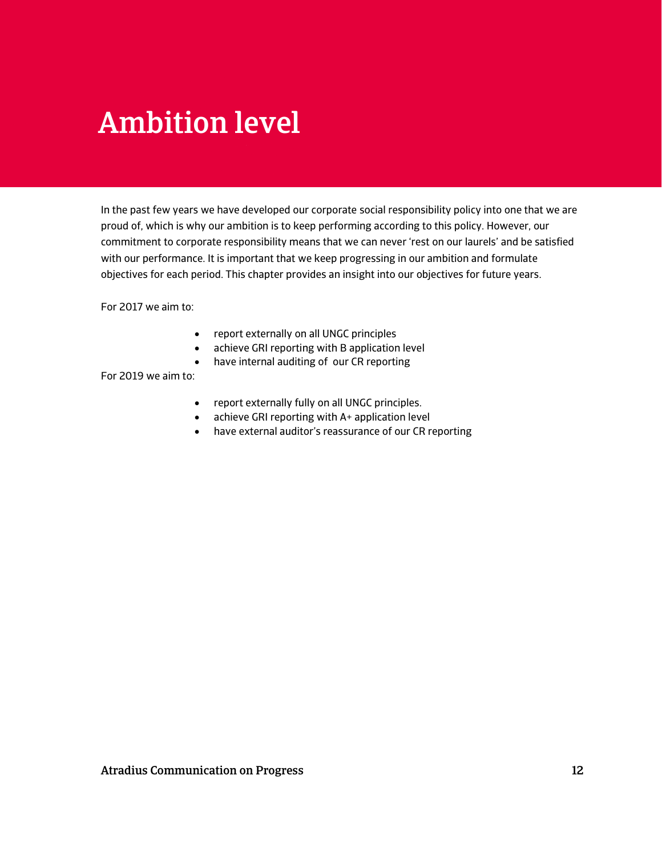# Ambition level

In the past few years we have developed our corporate social responsibility policy into one that we are proud of, which is why our ambition is to keep performing according to this policy. However, our commitment to corporate responsibility means that we can never 'rest on our laurels' and be satisfied with our performance. It is important that we keep progressing in our ambition and formulate objectives for each period. This chapter provides an insight into our objectives for future years.

For 2017 we aim to:

- report externally on all UNGC principles
- achieve GRI reporting with B application level
- have internal auditing of our CR reporting

For 2019 we aim to:

- report externally fully on all UNGC principles.
- achieve GRI reporting with A+ application level
- have external auditor's reassurance of our CR reporting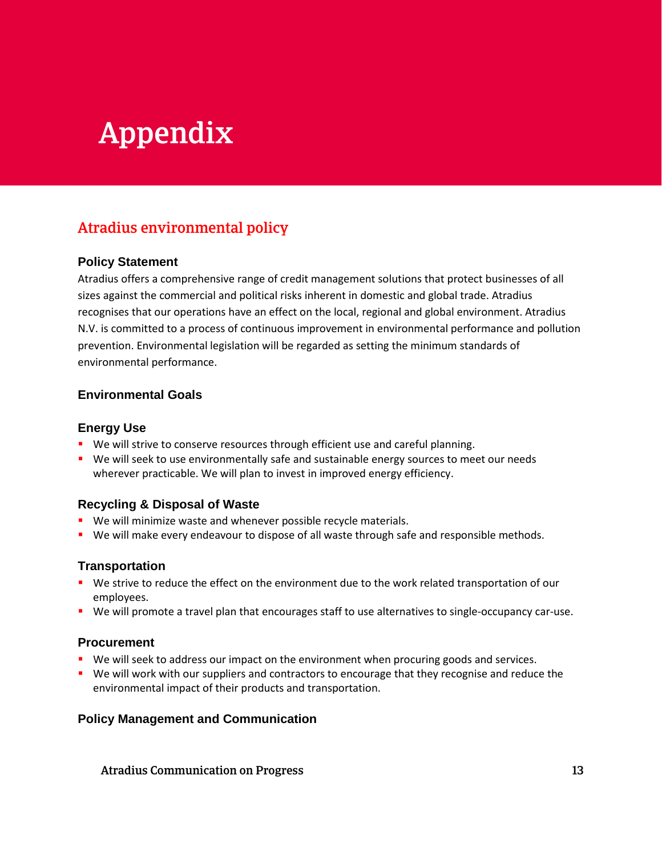# Appendix

### Atradius environmental policy

#### **Policy Statement**

Atradius offers a comprehensive range of credit management solutions that protect businesses of all sizes against the commercial and political risks inherent in domestic and global trade. Atradius recognises that our operations have an effect on the local, regional and global environment. Atradius N.V. is committed to a process of continuous improvement in environmental performance and pollution prevention. Environmental legislation will be regarded as setting the minimum standards of environmental performance.

#### **Environmental Goals**

#### **Energy Use**

- We will strive to conserve resources through efficient use and careful planning.
- **We will seek to use environmentally safe and sustainable energy sources to meet our needs** wherever practicable. We will plan to invest in improved energy efficiency.

#### **Recycling & Disposal of Waste**

- **We will minimize waste and whenever possible recycle materials.**
- We will make every endeavour to dispose of all waste through safe and responsible methods.

#### **Transportation**

- We strive to reduce the effect on the environment due to the work related transportation of our employees.
- We will promote a travel plan that encourages staff to use alternatives to single-occupancy car-use.

#### **Procurement**

- **We will seek to address our impact on the environment when procuring goods and services.**
- **We will work with our suppliers and contractors to encourage that they recognise and reduce the** environmental impact of their products and transportation.

#### **Policy Management and Communication**

Atradius Communication on Progress 13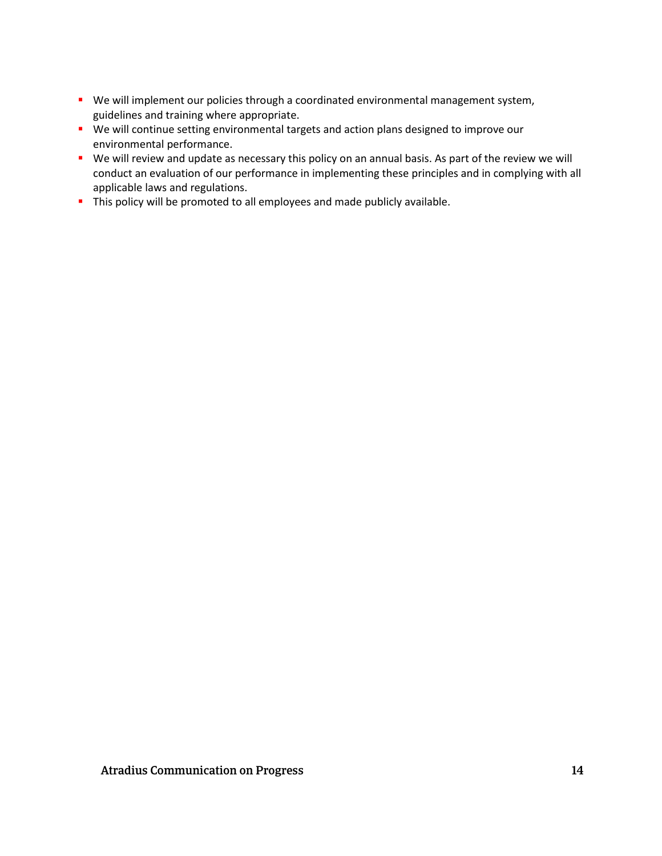- We will implement our policies through a coordinated environmental management system, guidelines and training where appropriate.
- We will continue setting environmental targets and action plans designed to improve our environmental performance.
- We will review and update as necessary this policy on an annual basis. As part of the review we will conduct an evaluation of our performance in implementing these principles and in complying with all applicable laws and regulations.
- This policy will be promoted to all employees and made publicly available.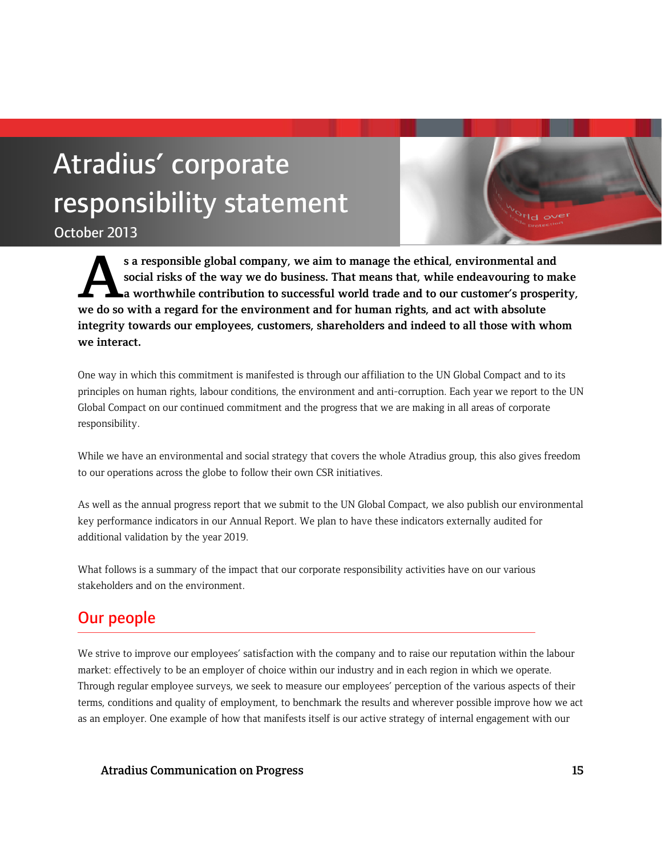# Atradius' corporate responsibility statement

October 2013

**s a responsible global company, we aim to manage the ethical, environmental and social risks of the way we do business. That means that, while endeavouring to make a worthwhile contribution to successful world trade and to our customer's prosperity,**  s a responsible global company, we aim to manage the ethical, environmental an social risks of the way we do business. That means that, while endeavouring to a worthwhile contribution to successful world trade and to our c **integrity towards our employees, customers, shareholders and indeed to all those with whom we interact.**

One way in which this commitment is manifested is through our affiliation to the UN Global Compact and to its principles on human rights, labour conditions, the environment and anti-corruption. Each year we report to the UN Global Compact on our continued commitment and the progress that we are making in all areas of corporate responsibility.

While we have an environmental and social strategy that covers the whole Atradius group, this also gives freedom to our operations across the globe to follow their own CSR initiatives.

As well as the annual progress report that we submit to the UN Global Compact, we also publish our environmental key performance indicators in our Annual Report. We plan to have these indicators externally audited for additional validation by the year 2019.

What follows is a summary of the impact that our corporate responsibility activities have on our various stakeholders and on the environment.

### Our people

We strive to improve our employees' satisfaction with the company and to raise our reputation within the labour market: effectively to be an employer of choice within our industry and in each region in which we operate. Through regular employee surveys, we seek to measure our employees' perception of the various aspects of their terms, conditions and quality of employment, to benchmark the results and wherever possible improve how we act as an employer. One example of how that manifests itself is our active strategy of internal engagement with our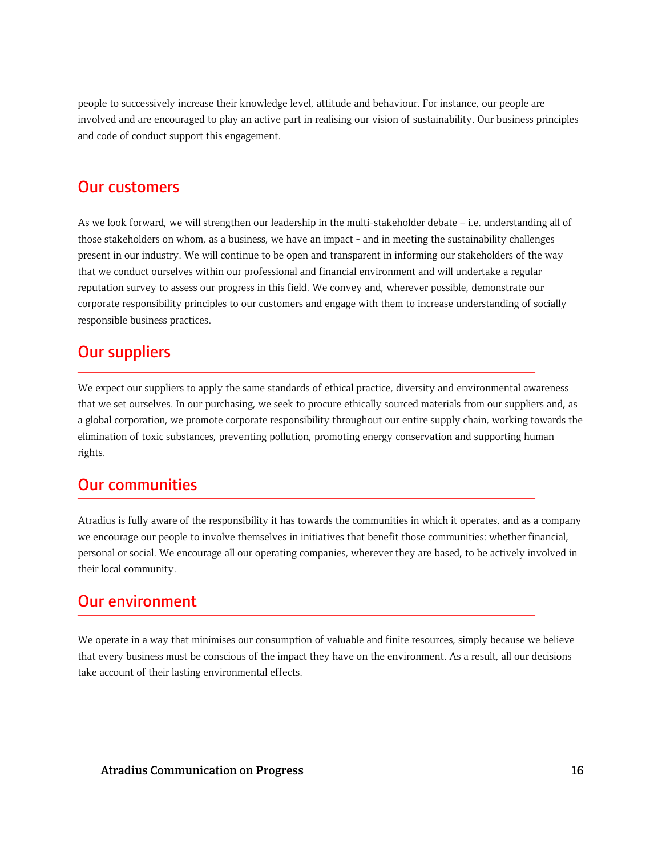people to successively increase their knowledge level, attitude and behaviour. For instance, our people are involved and are encouraged to play an active part in realising our vision of sustainability. Our business principles and code of conduct support this engagement.

### Our customers

As we look forward, we will strengthen our leadership in the multi-stakeholder debate – i.e. understanding all of those stakeholders on whom, as a business, we have an impact - and in meeting the sustainability challenges present in our industry. We will continue to be open and transparent in informing our stakeholders of the way that we conduct ourselves within our professional and financial environment and will undertake a regular reputation survey to assess our progress in this field. We convey and, wherever possible, demonstrate our corporate responsibility principles to our customers and engage with them to increase understanding of socially responsible business practices.

### Our suppliers

We expect our suppliers to apply the same standards of ethical practice, diversity and environmental awareness that we set ourselves. In our purchasing, we seek to procure ethically sourced materials from our suppliers and, as a global corporation, we promote corporate responsibility throughout our entire supply chain, working towards the elimination of toxic substances, preventing pollution, promoting energy conservation and supporting human rights.

### Our communities

Atradius is fully aware of the responsibility it has towards the communities in which it operates, and as a company we encourage our people to involve themselves in initiatives that benefit those communities: whether financial, personal or social. We encourage all our operating companies, wherever they are based, to be actively involved in their local community.

### Our environment

We operate in a way that minimises our consumption of valuable and finite resources, simply because we believe that every business must be conscious of the impact they have on the environment. As a result, all our decisions take account of their lasting environmental effects.